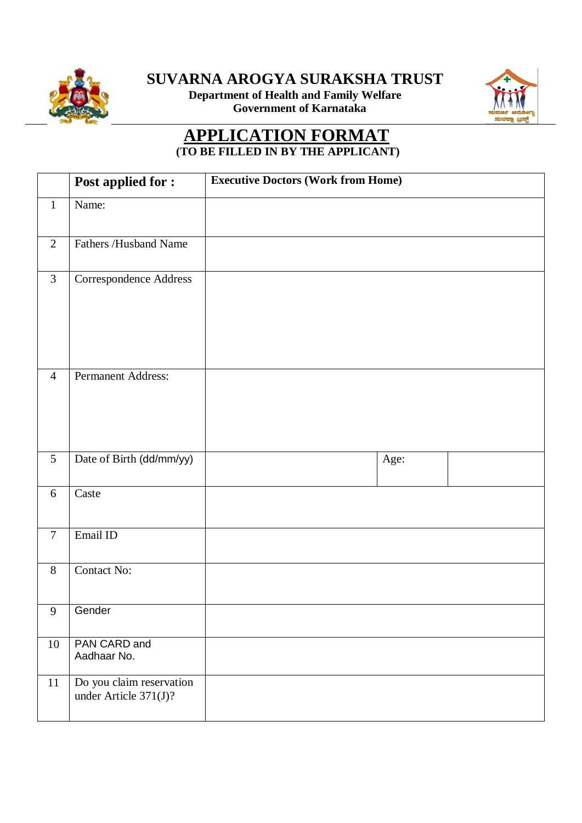

**SUVARNA AROGYA SURAKSHA TRUST** 

**Department of Health and Family Welfare Government of Karnataka**



## **APPLICATION FORMAT (TO BE FILLED IN BY THE APPLICANT)**

|                | <b>Post applied for:</b>                          | <b>Executive Doctors (Work from Home)</b> |  |
|----------------|---------------------------------------------------|-------------------------------------------|--|
| $\mathbf{1}$   | Name:                                             |                                           |  |
| $\mathbf{2}$   | Fathers /Husband Name                             |                                           |  |
| $\overline{3}$ | Correspondence Address                            |                                           |  |
| $\overline{4}$ | Permanent Address:                                |                                           |  |
| $\overline{5}$ | Date of Birth (dd/mm/yy)                          | Age:                                      |  |
| 6              | Caste                                             |                                           |  |
| $\tau$         | Email ID                                          |                                           |  |
| $8\,$          | Contact No:                                       |                                           |  |
| 9              | Gender                                            |                                           |  |
| $10\,$         | PAN CARD and<br>Aadhaar No.                       |                                           |  |
| 11             | Do you claim reservation<br>under Article 371(J)? |                                           |  |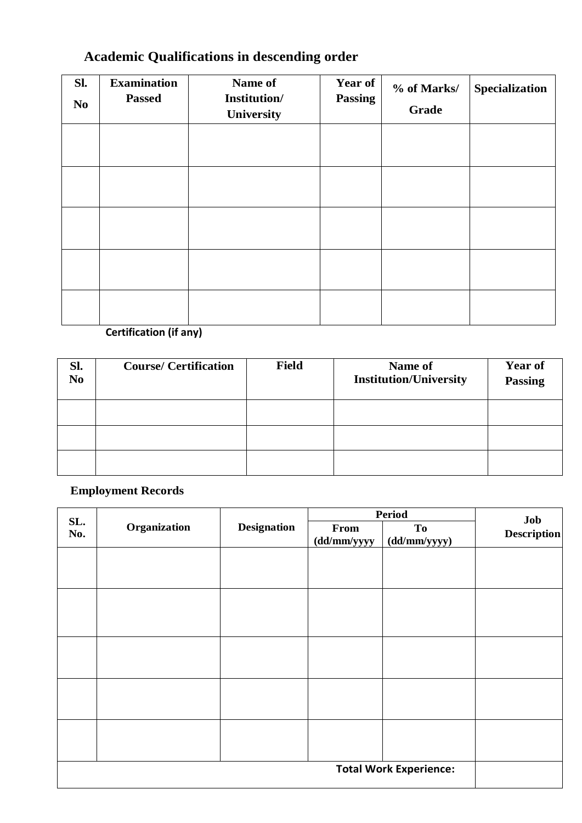## **Academic Qualifications in descending order**

| SI.<br>N <sub>o</sub> | <b>Examination</b><br><b>Passed</b> | Name of<br>Institution/<br>University | <b>Year of</b><br><b>Passing</b> | % of Marks/<br><b>Grade</b> | Specialization |
|-----------------------|-------------------------------------|---------------------------------------|----------------------------------|-----------------------------|----------------|
|                       |                                     |                                       |                                  |                             |                |
|                       |                                     |                                       |                                  |                             |                |
|                       |                                     |                                       |                                  |                             |                |
|                       |                                     |                                       |                                  |                             |                |
|                       |                                     |                                       |                                  |                             |                |

## **Certification (if any)**

| Sl.<br>N <sub>0</sub> | <b>Course/ Certification</b> | <b>Field</b> | Name of<br><b>Institution/University</b> | <b>Year of</b><br><b>Passing</b> |
|-----------------------|------------------------------|--------------|------------------------------------------|----------------------------------|
|                       |                              |              |                                          |                                  |
|                       |                              |              |                                          |                                  |
|                       |                              |              |                                          |                                  |

## **Employment Records**

| SL.<br>No. | Organization<br><b>Designation</b> |                     | <b>Period</b>             |                               | Job<br><b>Description</b> |
|------------|------------------------------------|---------------------|---------------------------|-------------------------------|---------------------------|
|            |                                    | From<br>(dd/mm/yyyy | <b>To</b><br>(dd/mm/yyyy) |                               |                           |
|            |                                    |                     |                           |                               |                           |
|            |                                    |                     |                           |                               |                           |
|            |                                    |                     |                           |                               |                           |
|            |                                    |                     |                           |                               |                           |
|            |                                    |                     |                           |                               |                           |
|            |                                    |                     |                           |                               |                           |
|            |                                    |                     |                           |                               |                           |
|            |                                    |                     |                           |                               |                           |
|            |                                    |                     |                           |                               |                           |
|            |                                    |                     |                           |                               |                           |
|            |                                    |                     |                           |                               |                           |
|            |                                    |                     |                           |                               |                           |
|            |                                    |                     |                           | <b>Total Work Experience:</b> |                           |